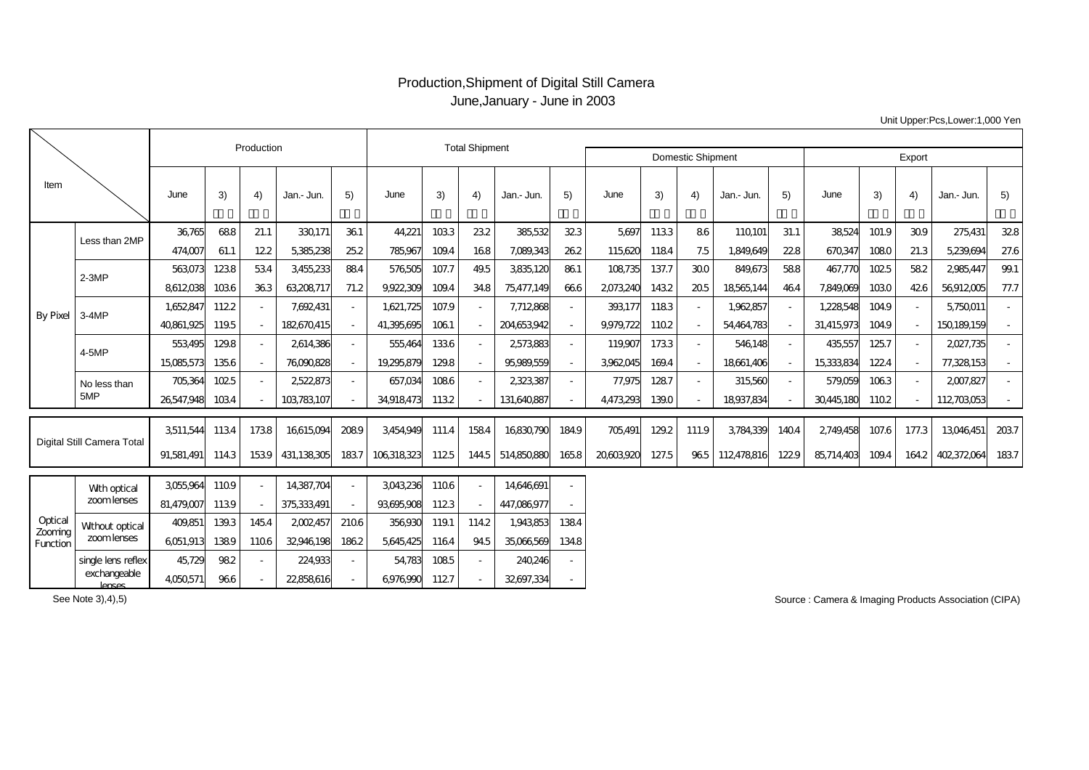## Production,Shipment of Digital Still Camera June,January - June in 2003

|                                |                                    |            | Production |        | <b>Total Shipment</b> |                |            |       |      |             |                          |          |        |                          |            |        |            |       |       |             |      |
|--------------------------------|------------------------------------|------------|------------|--------|-----------------------|----------------|------------|-------|------|-------------|--------------------------|----------|--------|--------------------------|------------|--------|------------|-------|-------|-------------|------|
|                                |                                    |            |            |        |                       |                |            |       |      |             | <b>Domestic Shipment</b> |          | Export |                          |            |        |            |       |       |             |      |
| Item                           |                                    | June       | 3)         | 4)     | Jan.- Jun.            | 5)             | June       | 3)    | 4)   | Jan.- Jun.  | 5)                       | June     | 3)     | 4)                       | Jan.- Jun. | 5)     | June       | 3)    | 4)    | Jan.- Jun.  | 5)   |
| <b>By Pixel</b>                | Less than 2MP                      | 36765      | 688        | 21.1   | 330,171               | 361            | 44.221     | 1033  | 232  | 385,532     | 323                      | 5.697    | 1133   | 86                       | 110,101    | 31.1   | 38524      | 101.9 | 309   | 275,431     | 328  |
|                                |                                    | 474,007    | 61.1       | 122    | 5385,238              | 25.2           | 785,967    | 1094  | 168  | 7,089,343   | 262                      | 115620   | 1184   | 7.5                      | 1,849,649  | 228    | 670347     | 1080  | 21.3  | 5,239,694   | 27.6 |
|                                | $2-3MP$                            | 563073     | 1238       | 534    | 3455,233              | 884            | 576505     | 107.7 | 495  | 3835120     | 861                      | 108735   | 137.7  | 300                      | 849,673    | 588    | 467,770    | 1025  | 582   | 2985,447    | 99.1 |
|                                |                                    | 8612038    | 1036       | 363    | 63208717              | 71.2           | 9922309    | 1094  | 348  | 75,477,149  | 666                      | 2073240  | 1432   | 205                      | 18565144   | 464    | 7,849,069  | 1030  | 426   | 56912005    | 77.7 |
|                                | $3-4MP$                            | 1,652,847  | 1122       |        | 7,692,431             | $\blacksquare$ | 1,621,725  | 107.9 |      | 7,712868    |                          | 393177   | 1183   | $\overline{\phantom{a}}$ | 1,962,857  | $\sim$ | 1,228,548  | 1049  |       | 5,750,011   |      |
|                                |                                    | 40861.925  | 1195       | $\sim$ | 182670415             | $\sim$         | 41.395.695 | 1061  |      | 204653942   |                          | 9979.722 | 1102   | $\sim$                   | 54464783   | $\sim$ | 31.415.973 | 1049  |       | 150189.159  |      |
|                                | 4-5MP                              | 553495     | 1298       | ÷.     | 2614386               | $\sim$         | 555464     | 1336  |      | 2573883     |                          | 119907   | 1733   | $\overline{\phantom{a}}$ | 546,148    | $\sim$ | 435,557    | 125.7 |       | 2027,735    |      |
|                                |                                    | 15085573   | 1356       | ÷.     | 76090828              | $\sim$         | 19,295,879 | 1298  |      | 95989.559   |                          | 3962045  | 1694   | $\sim$                   | 18661.406  | ÷.     | 15333834   | 122.4 |       | 77,328,153  |      |
|                                | No less than<br>5MP                | 705,364    | 1025       |        | 2522,873              | $\sim$         | 657,034    | 1086  |      | 2323387     |                          | 77,975   | 1287   | $\overline{\phantom{a}}$ | 315,560    | $\sim$ | 579,059    | 1063  |       | 2007,827    |      |
|                                |                                    | 26547.948  | 1034       |        | 103783107             |                | 34918473   | 1132  |      | 131.640.887 |                          | 4473293  | 1390   |                          | 18937.834  |        | 30445180   | 1102  |       | 112703053   |      |
| Digital Still Camera Total     |                                    | 3511,544   | 1134       | 1738   | 16615094              | 2089           | 3454949    | 111.4 | 1584 | 16830790    | 1849                     | 705,491  | 129.2  | 111.9                    | 3784339    | 1404   | 2749.458   | 107.6 | 177.3 | 13046451    | 2037 |
|                                |                                    | 91.581.491 | 1143       | 1539   | 431.138305            | 1837           | 106318323  | 1125  | 1445 | 514850880   | 165.8                    | 20603920 | 127.5  | 965                      | 112478816  | 1229   | 85,714,403 | 1094  | 1642  | 402,372,064 | 1837 |
|                                |                                    | 3055964    | 1109       | ÷.     | 14387.704             | $\sim$         | 3043236    | 1106  |      | 14646691    |                          |          |        |                          |            |        |            |       |       |             |      |
| Optical<br>Zooming<br>Function | With optical<br>zoomlenses         |            |            |        |                       |                |            |       |      |             |                          |          |        |                          |            |        |            |       |       |             |      |
|                                |                                    | 81,479,007 | 1139       |        | 375333491             |                | 93695908   | 1123  |      | 447,086,977 |                          |          |        |                          |            |        |            |       |       |             |      |
|                                | Without optical<br>zoomlenses      | 409,851    | 1393       | 145.4  | 2002457               | 2106           | 356930     | 1191  | 1142 | 1.943853    | 1384                     |          |        |                          |            |        |            |       |       |             |      |
|                                |                                    | 6051,913   | 1389       | 1106   | 32946198              | 1862           | 5645425    | 1164  | 945  | 35066569    | 1348                     |          |        |                          |            |        |            |       |       |             |      |
|                                | single lens reflex<br>exchangeable | 45.729     | 982        | $\sim$ | 224,933               | $\sim$         | 54,783     | 1085  |      | 240246      |                          |          |        |                          |            |        |            |       |       |             |      |
|                                | $l$ <sub>a</sub>                   | 4050571    | 966        |        | 22858616              | $\sim$         | 6976990    | 1127  |      | 32,697,334  |                          |          |        |                          |            |        |            |       |       |             |      |

Unit Upper:Pcs,Lower:1,000 Yen

See Note 3),4),5)

By

Source : Camera & Imaging Products Association (CIPA)